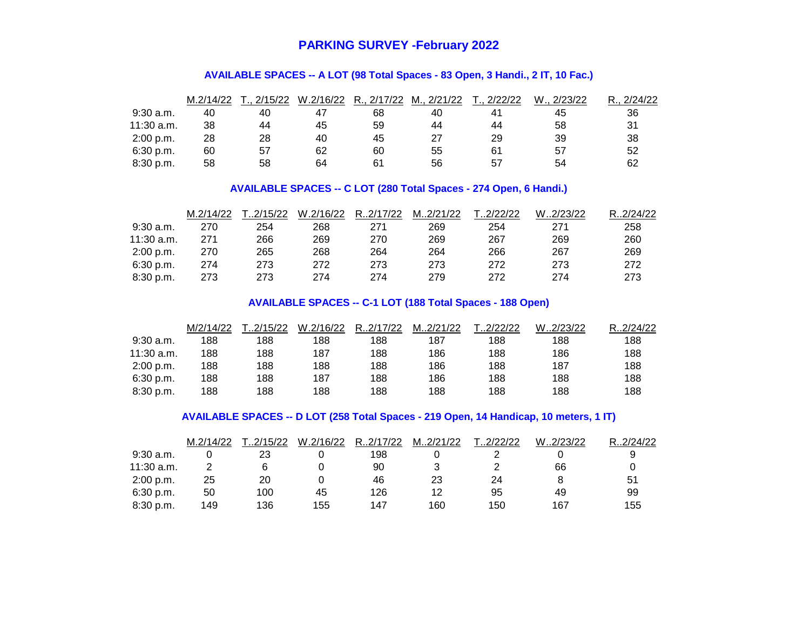## **PARKING SURVEY -February 2022**

#### **AVAILABLE SPACES -- A LOT (98 Total Spaces - 83 Open, 3 Handi., 2 IT, 10 Fac.)**

|             | M.2/14/22 | 2/15/22 | W.2/16/22 | R., 2/17/22 | M., 2/21/22 | 2/22/22 | W., 2/23/22 | 2/24/22<br>D |
|-------------|-----------|---------|-----------|-------------|-------------|---------|-------------|--------------|
| $9:30$ a.m. | 40        | 40      | 47        | 68          | 40          |         | 45          | 36           |
| 11:30 a.m.  | 38        | 44      | 45        | 59          | 44          | 44      | 58          | 31           |
| 2:00 p.m.   | 28        | 28      | 40        | 45          | 27          | 29      | 39          | 38           |
| 6:30 p.m.   | 60        | 57      | 62        | 60          | 55          | 61      | 57          | 52           |
| 8:30 p.m.   | 58        | 58      | 64        | 61          | 56          | 57      | 54          | 62           |

#### **AVAILABLE SPACES -- C LOT (280 Total Spaces - 274 Open, 6 Handi.)**

|             | M.2/14/22 | T2/15/22 | W.2/16/22 | R2/17/22 | M2/21/22 | T.2/22/22 | W.2/23/22 | R. 2/24/22 |
|-------------|-----------|----------|-----------|----------|----------|-----------|-----------|------------|
| $9:30$ a.m. | 270       | 254      | 268       | 271      | 269      | 254       | 271       | 258        |
| 11:30 a.m.  | 271       | 266      | 269       | 270      | 269      | 267       | 269       | 260        |
| 2:00 p.m.   | 270       | 265      | 268       | 264      | 264      | 266       | 267       | 269        |
| 6:30 p.m.   | 274       | 273      | 272       | 273      | 273      | 272       | 273       | 272        |
| 8:30 p.m.   | 273       | 273      | 274       | 274      | 279      | 272       | 274       | 273        |

#### **AVAILABLE SPACES -- C-1 LOT (188 Total Spaces - 188 Open)**

|             | M/2/14/22 | .2/15/22 | W.2/16/22 | R.2/17/22 | M2/21/22 | .2/22/22 | W2/23/22 | R. 2/24/22 |
|-------------|-----------|----------|-----------|-----------|----------|----------|----------|------------|
| $9:30$ a.m. | 188       | 188      | 188       | 188       | 187      | 188      | 188      | 188        |
| 11:30 a.m.  | 188       | 188      | 187       | 188       | 186      | 188      | 186      | 188        |
| 2:00 p.m.   | 188       | 188      | 188       | 188       | 186      | 188      | 187      | 188        |
| 6:30 p.m.   | 188       | 188      | 187       | 188       | 186      | 188      | 188      | 188        |
| 8:30 p.m.   | 188       | 188      | 188       | 188       | 188      | 188      | 188      | 188        |

#### **AVAILABLE SPACES -- D LOT (258 Total Spaces - 219 Open, 14 Handicap, 10 meters, 1 IT)**

|             | M.2/14/22 | .2/15/22 | W.2/16/22 | R2/17/22 | M2/21/22 | .2/22/22 | W2/23/22 | R2/24/22 |
|-------------|-----------|----------|-----------|----------|----------|----------|----------|----------|
| $9:30$ a.m. |           | 23       |           | 198      |          |          |          |          |
| 11:30 a.m.  |           |          |           | 90       |          |          | 66       |          |
| 2:00 p.m.   | 25        | 20       |           | 46       | 23       | 24       |          | 51       |
| 6:30 p.m.   | 50        | 100      | 45        | 126      | 12       | 95       | 49       | 99       |
| 8:30 p.m.   | 149       | 136      | 155       | 147      | 160      | 150      | 167      | 155      |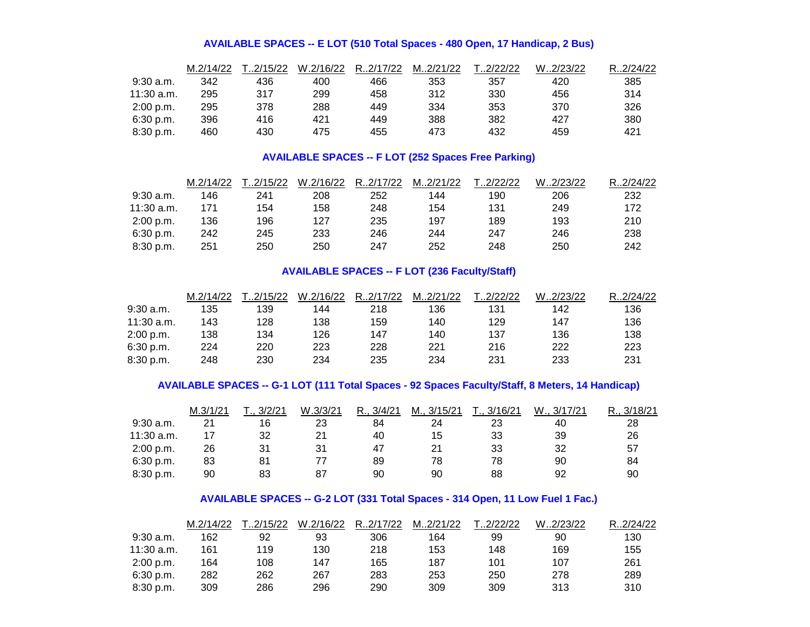#### **AVAILABLE SPACES -- E LOT (510 Total Spaces - 480 Open, 17 Handicap, 2 Bus)**

|              | M.2/14/22 | T.2/15/22 | W.2/16/22 | R.2/17/22 | M2/21/22 | T.2/22/22 | W2/23/22 | R.2/24/22 |
|--------------|-----------|-----------|-----------|-----------|----------|-----------|----------|-----------|
| $9:30$ a.m.  | 342       | 436       | 400       | 466       | 353      | 357       | 420      | 385       |
| $11:30$ a.m. | 295       | 317       | 299       | 458       | 312      | 330       | 456      | 314       |
| 2:00 p.m.    | 295       | 378       | 288       | 449       | 334      | 353       | 370      | 326       |
| 6:30 p.m.    | 396       | 416       | 421       | 449       | 388      | 382       | 427      | 380       |
| 8:30 p.m.    | 460       | 430       | 475       | 455       | 473      | 432       | 459      | 421       |

## **AVAILABLE SPACES -- F LOT (252 Spaces Free Parking)**

|              | M.2/14/22 | T.2/15/22 | W.2/16/22 | R.2/17/22 | M2/21/22 | T.2/22/22 | W2/23/22 | R2/24/22 |
|--------------|-----------|-----------|-----------|-----------|----------|-----------|----------|----------|
| $9:30$ a.m.  | 146       | 241       | 208       | 252       | 144      | 190       | 206      | 232      |
| $11:30$ a.m. | 171       | 154       | 158       | 248       | 154      | 131       | 249      | 172      |
| 2:00 p.m.    | 136       | 196       | 127       | 235       | 197      | 189       | 193      | 210      |
| 6:30 p.m.    | 242       | 245       | 233       | 246       | 244      | 247       | 246      | 238      |
| 8:30 p.m.    | 251       | 250       | 250       | 247       | 252      | 248       | 250      | 242      |

## **AVAILABLE SPACES -- F LOT (236 Faculty/Staff)**

|              | M.2/14/22 | T.2/15/22 | W.2/16/22 | R2/17/22 | M2/21/22 | T.2/22/22 | W2/23/22 | R.2/24/22 |
|--------------|-----------|-----------|-----------|----------|----------|-----------|----------|-----------|
| $9:30$ a.m.  | 135       | 139       | 144       | 218      | 136      | 131       | 142      | 136       |
| $11:30$ a.m. | 143       | 128       | 138       | 159      | 140      | 129       | 147      | 136       |
| 2:00 p.m.    | 138       | 134       | 126       | 147      | 140      | 137       | 136      | 138       |
| 6:30 p.m.    | 224       | 220       | 223       | 228      | 221      | 216       | 222      | 223       |
| 8:30 p.m.    | 248       | 230       | 234       | 235      | 234      | 231       | 233      | 231       |

## **AVAILABLE SPACES -- G-1 LOT (111 Total Spaces - 92 Spaces Faculty/Staff, 8 Meters, 14 Handicap)**

|             | M.3/1/21 | 3/2/21 | W.3/3/21 | R., 3/4/21 | M., 3/15/21 | T., 3/16/21 | W.,<br>, 3/17/21 | 3/18/21 |
|-------------|----------|--------|----------|------------|-------------|-------------|------------------|---------|
| $9:30$ a.m. | 21       | 16     | 23       | 84         | 24          | 23          | 40               | 28      |
| 11:30 a.m.  |          | 32     | 21       | 40         | 15          | 33          | 39               | 26      |
| 2:00 p.m.   | 26       | 31     | 31       | 47         |             | 33          | 32               | 57      |
| 6:30 p.m.   | 83       | 81     |          | 89         | 78          | 78          | 90               | 84      |
| 8:30 p.m.   | 90       | 83     | 87       | 90         | 90          | 88          | 92               | 90      |

## **AVAILABLE SPACES -- G-2 LOT (331 Total Spaces - 314 Open, 11 Low Fuel 1 Fac.)**

|              | M.2/14/22 | T.2/15/22 | W.2/16/22 | R2/17/22 | M2/21/22 | T.2/22/22 | W2/23/22 | R.2/24/22 |
|--------------|-----------|-----------|-----------|----------|----------|-----------|----------|-----------|
| $9:30$ a.m.  | 162       | 92        | 93        | 306      | 164      | 99        | 90       | 130       |
| $11:30$ a.m. | 161       | 119       | 130       | 218      | 153      | 148       | 169      | 155       |
| 2:00 p.m.    | 164       | 108       | 147       | 165      | 187      | 101       | 107      | 261       |
| 6:30 p.m.    | 282       | 262       | 267       | 283      | 253      | 250       | 278      | 289       |
| 8:30 p.m.    | 309       | 286       | 296       | 290      | 309      | 309       | 313      | 310       |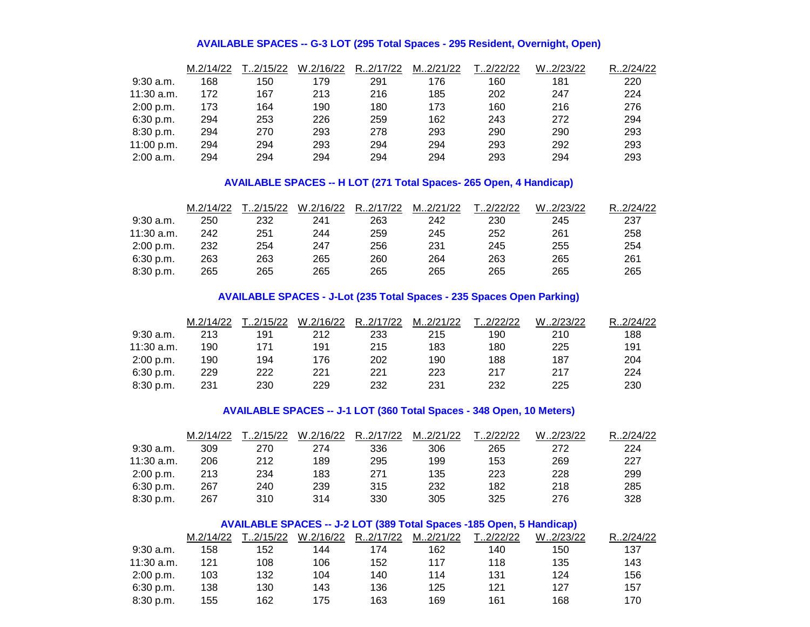#### **AVAILABLE SPACES -- G-3 LOT (295 Total Spaces - 295 Resident, Overnight, Open)**

|              | M.2/14/22 | T2/15/22 | W.2/16/22 | R.2/17/22 | M2/21/22 | 1.2/22/22 | W2/23/22 | R2/24/22 |
|--------------|-----------|----------|-----------|-----------|----------|-----------|----------|----------|
| $9:30$ a.m.  | 168       | 150      | 179       | 291       | 176      | 160       | 181      | 220      |
| $11:30$ a.m. | 172       | 167      | 213       | 216       | 185      | 202       | 247      | 224      |
| 2:00 p.m.    | 173       | 164      | 190       | 180       | 173      | 160       | 216      | 276      |
| 6:30 p.m.    | 294       | 253      | 226       | 259       | 162      | 243       | 272      | 294      |
| 8:30 p.m.    | 294       | 270      | 293       | 278       | 293      | 290       | 290      | 293      |
| 11:00 p.m.   | 294       | 294      | 293       | 294       | 294      | 293       | 292      | 293      |
| $2:00$ a.m.  | 294       | 294      | 294       | 294       | 294      | 293       | 294      | 293      |

## **AVAILABLE SPACES -- H LOT (271 Total Spaces- 265 Open, 4 Handicap)**

|            | M.2/14/22 | T2/15/22 | W.2/16/22 | R2/17/22 | M2/21/22 | T.2/22/22 | W2/23/22 | R.2/24/22 |
|------------|-----------|----------|-----------|----------|----------|-----------|----------|-----------|
| 9:30 a.m.  | 250       | 232      | 241       | 263      | 242      | 230       | 245      | 237       |
| 11:30 a.m. | 242       | 251      | 244       | 259      | 245      | 252       | 261      | 258       |
| 2:00 p.m.  | 232       | 254      | 247       | 256      | 231      | 245       | 255      | 254       |
| 6:30 p.m.  | 263       | 263      | 265       | 260      | 264      | 263       | 265      | 261       |
| 8:30 p.m.  | 265       | 265      | 265       | 265      | 265      | 265       | 265      | 265       |

## **AVAILABLE SPACES - J-Lot (235 Total Spaces - 235 Spaces Open Parking)**

|             | M.2/14/22 | T2/15/22 | W.2/16/22 | R2/17/22 | M2/21/22 | T.2/22/22 | W2/23/22 | R.2/24/22 |
|-------------|-----------|----------|-----------|----------|----------|-----------|----------|-----------|
| $9:30$ a.m. | 213       | 191      | 212       | 233      | 215      | 190       | 210      | 188       |
| 11:30 a.m.  | 190       | 171      | 191       | 215      | 183      | 180       | 225      | 191       |
| 2:00 p.m.   | 190       | 194      | 176       | 202      | 190      | 188       | 187      | 204       |
| 6:30 p.m.   | 229       | 222      | 221       | 221      | 223      | 217       | 217      | 224       |
| 8:30 p.m.   | 231       | 230      | 229       | 232      | 231      | 232       | 225      | 230       |

#### **AVAILABLE SPACES -- J-1 LOT (360 Total Spaces - 348 Open, 10 Meters)**

|              | M.2/14/22 | T2/15/22 | W.2/16/22 | R2/17/22 | M2/21/22 | T.2/22/22 | W2/23/22 | R.2/24/22 |
|--------------|-----------|----------|-----------|----------|----------|-----------|----------|-----------|
| $9:30$ a.m.  | 309       | 270      | 274       | 336      | 306      | 265       | 272      | 224       |
| $11:30$ a.m. | 206       | 212      | 189       | 295      | 199      | 153       | 269      | 227       |
| 2:00 p.m.    | 213       | 234      | 183       | 271      | 135      | 223       | 228      | 299       |
| 6:30 p.m.    | 267       | 240      | 239       | 315      | 232      | 182       | 218      | 285       |
| 8:30 p.m.    | 267       | 310      | 314       | 330      | 305      | 325       | 276      | 328       |

## **AVAILABLE SPACES -- J-2 LOT (389 Total Spaces -185 Open, 5 Handicap)**

|              | M.2/14/22 | T.2/15/22 | W.2/16/22 | R2/17/22 | M2/21/22 | T.2/22/22 | W.2/23/22 | R.2/24/22 |
|--------------|-----------|-----------|-----------|----------|----------|-----------|-----------|-----------|
| $9:30$ a.m.  | 158       | 152       | 144       | 174      | 162      | 140       | 150       | 137       |
| $11:30$ a.m. | 121       | 108       | 106       | 152      | 117      | 118       | 135       | 143       |
| 2:00 p.m.    | 103       | 132       | 104       | 140      | 114      | 131       | 124       | 156       |
| 6:30 p.m.    | 138       | 130       | 143       | 136      | 125      | 121       | 127       | 157       |
| 8:30 p.m.    | 155       | 162       | 175       | 163      | 169      | 161       | 168       | 170       |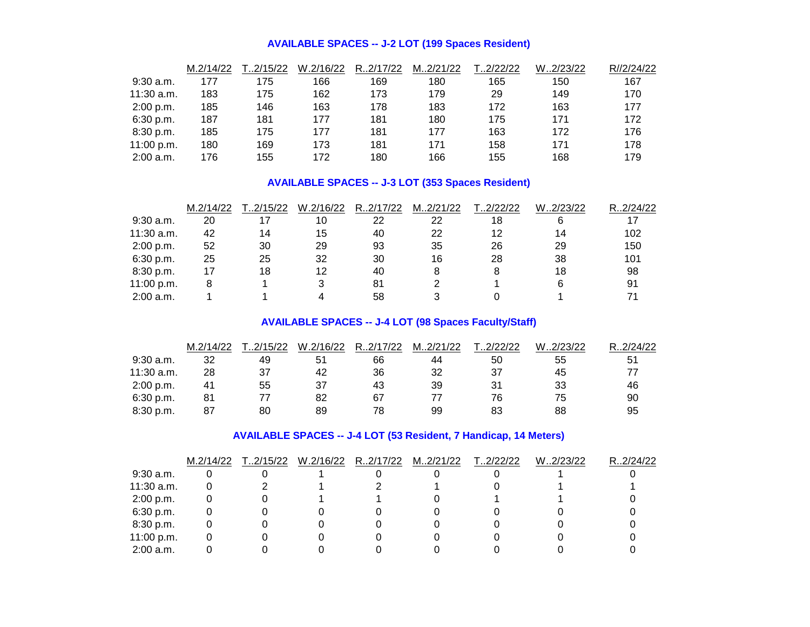#### **AVAILABLE SPACES -- J-2 LOT (199 Spaces Resident)**

|              | M.2/14/22 | T2/15/22 | W.2/16/22 | R.2/17/22 | M2/21/22 | T2/22/22 | W2/23/22 | R//2/24/22 |
|--------------|-----------|----------|-----------|-----------|----------|----------|----------|------------|
| $9:30$ a.m.  | 177       | 175      | 166       | 169       | 180      | 165      | 150      | 167        |
| $11:30$ a.m. | 183       | 175      | 162       | 173       | 179      | 29       | 149      | 170        |
| 2:00 p.m.    | 185       | 146      | 163       | 178       | 183      | 172      | 163      | 177        |
| 6:30 p.m.    | 187       | 181      | 177       | 181       | 180      | 175      | 171      | 172        |
| 8:30 p.m.    | 185       | 175      | 177       | 181       | 177      | 163      | 172      | 176        |
| 11:00 p.m.   | 180       | 169      | 173       | 181       | 171      | 158      | 171      | 178        |
| $2:00$ a.m.  | 176       | 155      | 172       | 180       | 166      | 155      | 168      | 179        |

## **AVAILABLE SPACES -- J-3 LOT (353 Spaces Resident)**

|             | M.2/14/22 | .2/15/22 | W.2/16/22 | R.2/17/22 | M2/21/22 | .2/22/22 | W2/23/22 | R.2/24/22 |
|-------------|-----------|----------|-----------|-----------|----------|----------|----------|-----------|
| $9:30$ a.m. | 20        |          | 10        | 22        | 22       | 18       |          | 17        |
| 11:30 a.m.  | 42        | 14       | 15        | 40        | 22       | 12       | 14       | 102       |
| 2:00 p.m.   | 52        | 30       | 29        | 93        | 35       | 26       | 29       | 150       |
| 6:30 p.m.   | 25        | 25       | 32        | 30        | 16       | 28       | 38       | 101       |
| 8:30 p.m.   | 17        | 18       | 12        | 40        |          | 8        | 18       | 98        |
| 11:00 p.m.  |           |          |           | 81        |          |          |          | 91        |
| $2:00$ a.m. |           |          |           | 58        |          |          |          |           |

## **AVAILABLE SPACES -- J-4 LOT (98 Spaces Faculty/Staff)**

|             | M.2/14/22 | .2/15/22 | W.2/16/22 | R.2/17/22 | M2/21/22 | .2/22/22 | W2/23/22 | R.2/24/22 |
|-------------|-----------|----------|-----------|-----------|----------|----------|----------|-----------|
| $9:30$ a.m. | 32        | 49       | 51        | 66        | 44       | 50       | 55       | 51        |
| 11:30 a.m.  | 28        | 37       | 42        | 36        | 32       | 37       | 45       |           |
| 2:00 p.m.   | 41        | 55       | 37        | 43        | 39       | 31       | 33       | 46        |
| 6:30 p.m.   | 81        |          | 82        | 67        |          | 76       | 75       | 90        |
| 8:30 p.m.   | 87        | 80       | 89        | 78        | 99       | 83       | 88       | 95        |

## **AVAILABLE SPACES -- J-4 LOT (53 Resident, 7 Handicap, 14 Meters)**

|              | M.2/14/22 | T.2/15/22 | W.2/16/22 | R2/17/22 | M2/21/22 | T.2/22/22 | W2/23/22 | R2/24/22 |
|--------------|-----------|-----------|-----------|----------|----------|-----------|----------|----------|
| $9:30$ a.m.  |           |           |           |          |          |           |          |          |
| $11:30$ a.m. |           |           |           |          |          |           |          |          |
| 2:00 p.m.    |           |           |           |          |          |           |          |          |
| 6:30 p.m.    |           |           |           |          |          |           |          |          |
| 8:30 p.m.    |           |           |           |          |          |           |          |          |
| 11:00 p.m.   |           |           |           |          |          |           |          |          |
| $2:00$ a.m.  |           |           |           |          |          |           |          |          |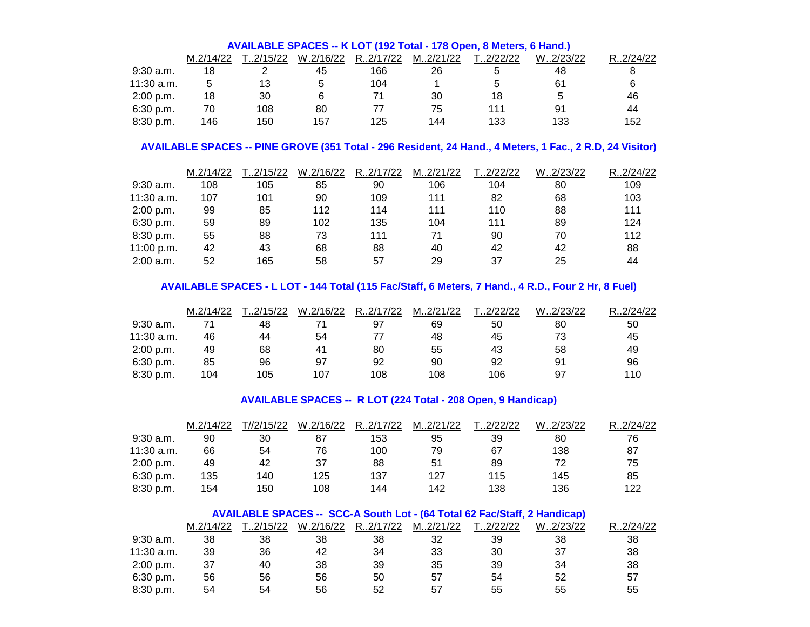|             | AVAILABLE SPACES -- K LOT (192 Total - 178 Open, 8 Meters, 6 Hand.) |          |           |          |          |          |          |           |  |  |  |  |
|-------------|---------------------------------------------------------------------|----------|-----------|----------|----------|----------|----------|-----------|--|--|--|--|
|             | M.2/14/22                                                           | T2/15/22 | W.2/16/22 | R2/17/22 | M2/21/22 | T2/22/22 | W2/23/22 | R.2/24/22 |  |  |  |  |
| $9:30$ a.m. | 18                                                                  |          | 45        | 166      | 26       |          | 48       |           |  |  |  |  |
| 11:30 a.m.  |                                                                     | 13       |           | 104      |          | 5        | 61       | 6         |  |  |  |  |
| 2:00 p.m.   | 18                                                                  | 30       |           |          | 30       | 18       |          | 46        |  |  |  |  |
| 6:30 p.m.   | 70                                                                  | 108      | 80        |          | 75       | 111      | 91       | 44        |  |  |  |  |
| 8:30 p.m.   | 146                                                                 | 150      | 157       | 125      | 144      | 133      | 133      | 152       |  |  |  |  |

## **AVAILABLE SPACES -- PINE GROVE (351 Total - 296 Resident, 24 Hand., 4 Meters, 1 Fac., 2 R.D, 24 Visitor)**

|              | M.2/14/22 | T2/15/22 | W.2/16/22 | R.2/17/22 | M2/21/22 | .2/22/22 | W2/23/22 | R2/24/22 |
|--------------|-----------|----------|-----------|-----------|----------|----------|----------|----------|
| $9:30$ a.m.  | 108       | 105      | 85        | 90        | 106      | 104      | 80       | 109      |
| $11:30$ a.m. | 107       | 101      | 90        | 109       | 111      | 82       | 68       | 103      |
| 2:00 p.m.    | 99        | 85       | 112       | 114       | 111      | 110      | 88       | 111      |
| 6:30 p.m.    | 59        | 89       | 102       | 135       | 104      | 111      | 89       | 124      |
| 8:30 p.m.    | 55        | 88       | 73        | 111       | 71       | 90       | 70       | 112      |
| 11:00 p.m.   | 42        | 43       | 68        | 88        | 40       | 42       | 42       | 88       |
| $2:00$ a.m.  | 52        | 165      | 58        | 57        | 29       | 37       | 25       | 44       |

## **AVAILABLE SPACES - L LOT - 144 Total (115 Fac/Staff, 6 Meters, 7 Hand., 4 R.D., Four 2 Hr, 8 Fuel)**

|              | M.2/14/22 | .2/15/22 | W.2/16/22 | R.2/17/22 | M2/21/22 | .2/22/22 | 2/23/22<br>W. | .2/24/22<br>R |
|--------------|-----------|----------|-----------|-----------|----------|----------|---------------|---------------|
| $9:30$ a.m.  |           | 48       |           | 97        | 69       | 50       | 80            | 50            |
| $11:30$ a.m. | 46        | 44       | 54        |           | 48       | 45       | 73            | 45            |
| 2:00 p.m.    | 49        | 68       | 41        | 80        | 55       | 43       | 58            | 49            |
| 6:30 p.m.    | 85        | 96       | 97        | 92        | 90       | 92       | 91            | 96            |
| 8:30 p.m.    | 104       | 105      | 107       | 108       | 108      | 106      | 97            | 110           |

#### **AVAILABLE SPACES -- R LOT (224 Total - 208 Open, 9 Handicap)**

|              | M.2/14/22 | T//2/15/22 | W.2/16/22 | R2/17/22 | M2/21/22 | T.2/22/22 | W2/23/22 | R.2/24/22 |
|--------------|-----------|------------|-----------|----------|----------|-----------|----------|-----------|
| $9:30$ a.m.  | 90        | 30         | 87        | 153      | 95       | 39        | 80       | 76        |
| $11:30$ a.m. | 66        | 54         | 76        | 100      | 79       | 67        | 138      | 87        |
| 2:00 p.m.    | 49        | 42         | 37        | 88       | 51       | 89        | 72       | 75        |
| 6:30 p.m.    | 135       | 140        | 125       | 137      | 127      | 115       | 145      | 85        |
| 8:30 p.m.    | 154       | 150        | 108       | 144      | 142      | 138       | 136      | 122       |

## **AVAILABLE SPACES -- SCC-A South Lot - (64 Total 62 Fac/Staff, 2 Handicap)**

|              | M.2/14/22 | T.2/15/22 | W.2/16/22 | R.2/17/22 | M2/21/22 | T.2/22/22 | W2/23/22 | R2/24/22 |
|--------------|-----------|-----------|-----------|-----------|----------|-----------|----------|----------|
| $9:30$ a.m.  | 38        | 38        | 38        | 38        | 32       | 39        | 38       | 38       |
| $11:30$ a.m. | 39        | 36        | 42        | 34        | 33       | 30        | 37       | 38       |
| 2:00 p.m.    | 37        | 40        | 38        | 39        | 35       | 39        | 34       | 38       |
| 6:30 p.m.    | 56        | 56        | 56        | 50        | 57       | 54        | 52       | 57       |
| 8:30 p.m.    | 54        | 54        | 56        | 52        | 57       | 55        | 55       | 55       |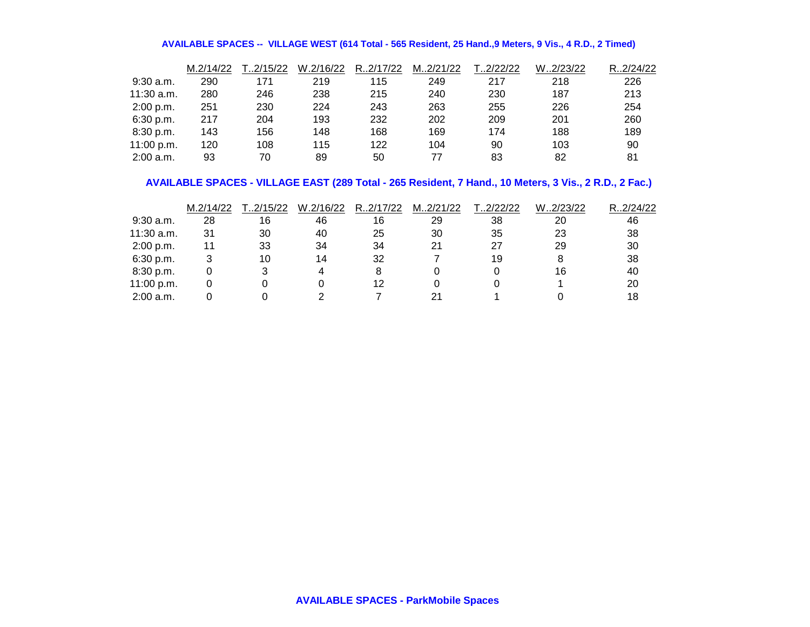#### **AVAILABLE SPACES -- VILLAGE WEST (614 Total - 565 Resident, 25 Hand.,9 Meters, 9 Vis., 4 R.D., 2 Timed)**

|              | M.2/14/22 | T2/15/22 | W.2/16/22 | R.2/17/22 | M2/21/22 | T2/22/22 | W2/23/22 | R2/24/22 |
|--------------|-----------|----------|-----------|-----------|----------|----------|----------|----------|
| $9:30$ a.m.  | 290       | 171      | 219       | 115       | 249      | 217      | 218      | 226      |
| $11:30$ a.m. | 280       | 246      | 238       | 215       | 240      | 230      | 187      | 213      |
| 2:00 p.m.    | 251       | 230      | 224       | 243       | 263      | 255      | 226      | 254      |
| 6:30 p.m.    | 217       | 204      | 193       | 232       | 202      | 209      | 201      | 260      |
| 8:30 p.m.    | 143       | 156      | 148       | 168       | 169      | 174      | 188      | 189      |
| 11:00 p.m.   | 120       | 108      | 115       | 122       | 104      | 90       | 103      | 90       |
| $2:00$ a.m.  | 93        | 70       | 89        | 50        | 77       | 83       | 82       | 81       |

## **AVAILABLE SPACES - VILLAGE EAST (289 Total - 265 Resident, 7 Hand., 10 Meters, 3 Vis., 2 R.D., 2 Fac.)**

|             | M.2/14/22 | .2/15/22 | W.2/16/22 | R.2/17/22 | M2/21/22 | .2/22/22 | W2/23/22 | R2/24/22 |
|-------------|-----------|----------|-----------|-----------|----------|----------|----------|----------|
| $9:30$ a.m. | 28        | 16       | 46        | 16        | 29       | 38       | 20       | 46       |
| 11:30 a.m.  | 31        | 30       | 40        | 25        | 30       | 35       | 23       | 38       |
| 2:00 p.m.   | 11        | 33       | 34        | 34        | 21       | 27       | 29       | 30       |
| 6:30 p.m.   |           | 10       | 14        | 32        |          | 19       |          | 38       |
| 8:30 p.m.   |           |          |           |           |          |          | 16       | 40       |
| 11:00 p.m.  |           |          |           | 12        |          |          |          | 20       |
| $2:00$ a.m. |           |          |           |           |          |          |          | 18       |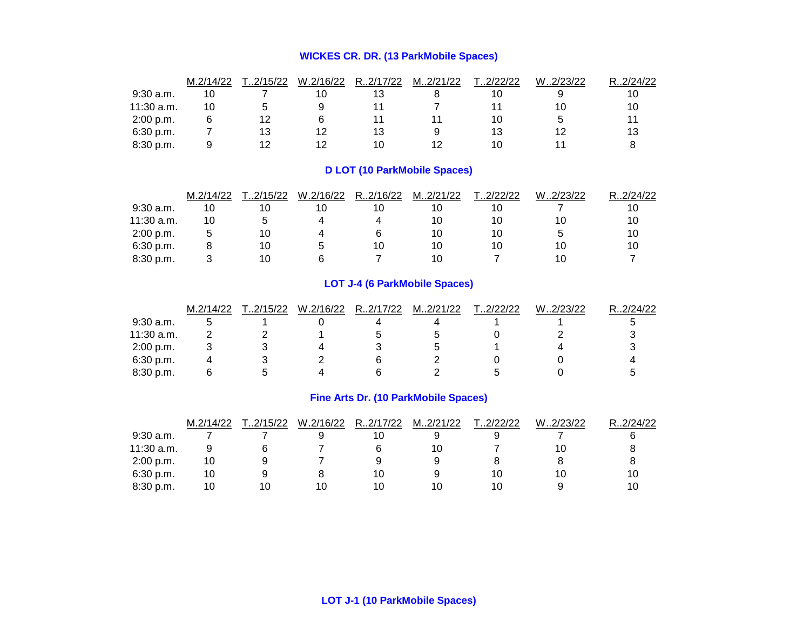## **WICKES CR. DR. (13 ParkMobile Spaces)**

|              | M.2/14/22 | .2/15/22 | W.2/16/22 | R.2/17/22 | M2/21/22 | .2/22/22 | W2/23/22 | $\langle .2/24/22 \rangle$<br>R. |
|--------------|-----------|----------|-----------|-----------|----------|----------|----------|----------------------------------|
| $9:30$ a.m.  | 10        |          | 10        | 13        |          | 10       |          | 10                               |
| $11:30$ a.m. | 10        |          |           |           |          |          | 10       | 10                               |
| 2:00 p.m.    |           | 12       |           |           |          | 10       |          |                                  |
| 6:30 p.m.    |           | 13       |           | 13        |          | 13       |          | 13                               |
| 8:30 p.m.    |           |          |           | 10        | 12       | 10       |          |                                  |

## **D LOT (10 ParkMobile Spaces)**

|              | M.2/14/22 | T.2/15/22 | W.2/16/22 | R.2/16/22 | M2/21/22 | T2/22/22 | W2/23/22 | R.2/24/22 |
|--------------|-----------|-----------|-----------|-----------|----------|----------|----------|-----------|
| $9:30$ a.m.  | 10        |           |           | 10        | 10       | 10       |          | 10        |
| $11:30$ a.m. | 10        |           |           |           | 10       | 10       | 10       | 10        |
| 2:00 p.m.    |           | 10        |           |           | 10       | 10       |          | 10        |
| 6:30 p.m.    |           | 10        |           | 10        | 10       | 10       | 10       | 10        |
| 8:30 p.m.    |           |           |           |           | 10       |          | 10       |           |

## **LOT J-4 (6 ParkMobile Spaces)**

|             | M.2/14/22 | .2/15/22 | W.2/16/22 | R.2/17/22 | M2/21/22 | T.2/22/22 | W2/23/22 | R.2/24/22 |
|-------------|-----------|----------|-----------|-----------|----------|-----------|----------|-----------|
| $9:30$ a.m. |           |          |           |           |          |           |          |           |
| 11:30 a.m.  |           |          |           |           |          |           |          |           |
| 2:00 p.m.   |           |          |           |           |          |           |          |           |
| 6:30 p.m.   |           |          |           |           |          |           |          |           |
| 8:30 p.m.   |           |          |           |           |          |           |          |           |

## **Fine Arts Dr. (10 ParkMobile Spaces)**

|             | M.2/14/22 | T.2/15/22 | W.2/16/22 | R2/17/22 | M2/21/22 | T2/22/22 | W2/23/22 | R.2/24/22 |
|-------------|-----------|-----------|-----------|----------|----------|----------|----------|-----------|
| $9:30$ a.m. |           |           |           |          |          |          |          |           |
| 11:30 a.m.  |           |           |           |          | 10       |          | 10       |           |
| 2:00 p.m.   | 10        |           |           |          |          |          |          |           |
| 6:30 p.m.   | 10        |           |           | 10       |          | 10       | 10       | 10        |
| 8:30 p.m.   | 10        | 10        | 10        | 10       | 10       | 10       |          | 10        |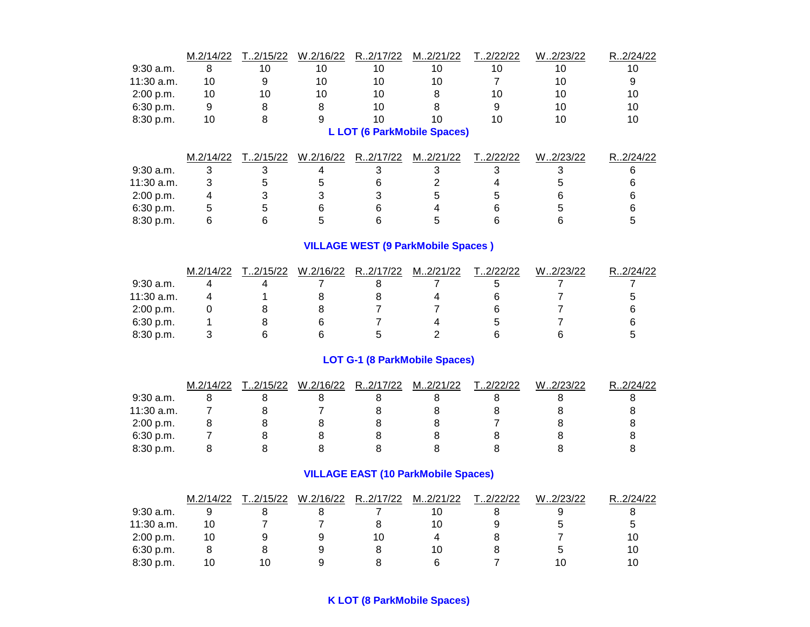|             | M.2/14/22      | T2/15/22  | W.2/16/22 | R.2/17/22      | M2/21/22                                   | T2/22/22       | W.2/23/22 | R.2/24/22 |
|-------------|----------------|-----------|-----------|----------------|--------------------------------------------|----------------|-----------|-----------|
| 9:30 a.m.   | 8              | 10        | 10        | 10             | 10                                         | 10             | 10        | 10        |
| 11:30 a.m.  | 10             | 9         | 10        | 10             | 10                                         | $\overline{7}$ | 10        | 9         |
| 2:00 p.m.   | 10             | 10        | 10        | 10             | 8                                          | 10             | 10        | 10        |
| 6:30 p.m.   | 9              | 8         | 8         | 10             | 8                                          | 9              | 10        | 10        |
| 8:30 p.m.   | 10             | 8         | 9         | 10             | 10                                         | 10             | 10        | 10        |
|             |                |           |           |                | <b>L LOT (6 ParkMobile Spaces)</b>         |                |           |           |
|             | M.2/14/22      | T2/15/22  | W.2/16/22 | R.2/17/22      | M2/21/22                                   | T2/22/22       | W.2/23/22 | R.2/24/22 |
| 9:30 a.m.   | 3              | 3         | 4         | 3              | 3                                          | 3              | 3         | 6         |
| 11:30 a.m.  | 3              | 5         | 5         | 6              | 2                                          | 4              | 5         | 6         |
| 2:00 p.m.   | 4              | 3         | 3         | 3              | 5                                          | 5              | 6         | 6         |
| 6:30 p.m.   | 5              | 5         | 6         | 6              | 4                                          | 6              | 5         | 6         |
| 8:30 p.m.   | 6              | 6         | 5         | 6              | 5                                          | 6              | 6         | 5         |
|             |                |           |           |                | <b>VILLAGE WEST (9 ParkMobile Spaces)</b>  |                |           |           |
|             | M.2/14/22      | T.2/15/22 | W.2/16/22 | R.2/17/22      | M2/21/22                                   | T.2/22/22      | W.2/23/22 | R.2/24/22 |
| 9:30 a.m.   | 4              | 4         |           | 8              | 7                                          | 5              | 7         |           |
| 11:30 a.m.  | 4              | 1         | 8         | 8              | 4                                          | 6              | 7         | 5         |
| 2:00 p.m.   | 0              | 8         | 8         | 7              | 7                                          | 6              | 7         | 6         |
| 6:30 p.m.   | 1              | 8         | 6         | $\overline{7}$ | 4                                          | 5              | 7         | 6         |
| 8:30 p.m.   | 3              | 6         | 6         | 5              | $\overline{2}$                             | 6              | 6         | 5         |
|             |                |           |           |                | <b>LOT G-1 (8 ParkMobile Spaces)</b>       |                |           |           |
|             | M.2/14/22      | T2/15/22  | W.2/16/22 | R.2/17/22      | M2/21/22                                   | T2/22/22       | W2/23/22  | R2/24/22  |
| $9:30$ a.m. | 8              | 8         | 8         | 8              | 8                                          | 8              | 8         | 8         |
| 11:30 a.m.  | $\overline{7}$ | 8         | 7         | 8              | 8                                          | 8              | 8         | 8         |
| 2:00 p.m.   | 8              | 8         | 8         | 8              | 8                                          | 7              | 8         | 8         |
| 6:30 p.m.   | $\overline{7}$ | 8         | 8         | 8              | 8                                          | 8              | 8         | 8         |
| 8:30 p.m.   | 8              | 8         | 8         | 8              | 8                                          | 8              | 8         | 8         |
|             |                |           |           |                | <b>VILLAGE EAST (10 ParkMobile Spaces)</b> |                |           |           |

|             | M.2/14/22 | .2/15/22 | W.2/16/22 | R.2/17/22 | M2/21/22 | .2/22/22 | $W_{\cdot}$<br>.2/23/22 | .2/24/22<br>D |
|-------------|-----------|----------|-----------|-----------|----------|----------|-------------------------|---------------|
| $9:30$ a.m. |           |          |           |           |          |          |                         |               |
| 11:30 a.m.  | 10        |          |           |           |          |          |                         |               |
| 2:00 p.m.   | 10        |          |           | 10        |          |          |                         | 10            |
| 6:30 p.m.   |           |          |           |           |          |          |                         | 10            |
| 8:30 p.m.   |           |          |           |           |          |          |                         | 10            |